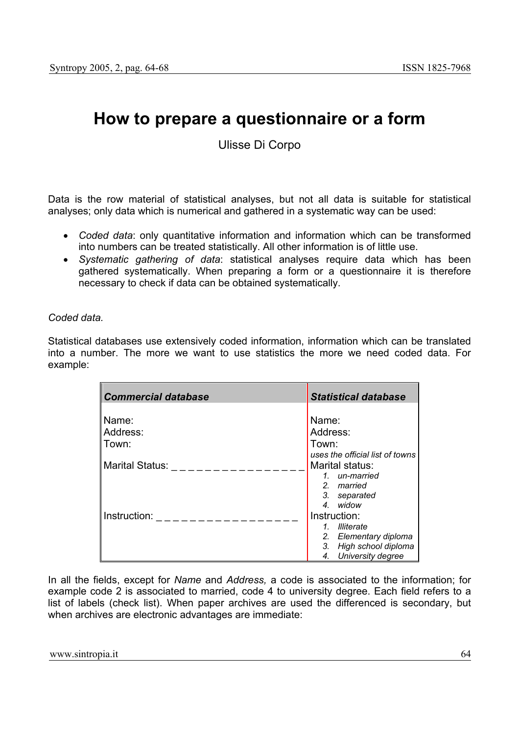# **How to prepare a questionnaire or a form**

Ulisse Di Corpo

Data is the row material of statistical analyses, but not all data is suitable for statistical analyses; only data which is numerical and gathered in a systematic way can be used:

- *Coded data*: only quantitative information and information which can be transformed into numbers can be treated statistically. All other information is of little use.
- *Systematic gathering of data*: statistical analyses require data which has been gathered systematically. When preparing a form or a questionnaire it is therefore necessary to check if data can be obtained systematically.

# *Coded data.*

Statistical databases use extensively coded information, information which can be translated into a number. The more we want to use statistics the more we need coded data. For example:

| <b>Commercial database</b> | <b>Statistical database</b>          |
|----------------------------|--------------------------------------|
|                            |                                      |
| Name:                      | Name:                                |
| Address:                   | Address:                             |
| Town:                      | Town:                                |
|                            | uses the official list of towns      |
| Marital Status:            | Marital status:                      |
|                            | 1. un-married                        |
|                            | 2. married                           |
|                            | 3. separated                         |
|                            | 4. widow                             |
| Instruction:               | Instruction:                         |
|                            | <b>Illiterate</b><br>$\mathcal{I}$ . |
|                            | 2. Elementary diploma                |
|                            | High school diploma<br>3.            |
|                            | University degree<br>4.              |

In all the fields, except for *Name* and *Address,* a code is associated to the information; for example code 2 is associated to married, code 4 to university degree. Each field refers to a list of labels (check list). When paper archives are used the differenced is secondary, but when archives are electronic advantages are immediate: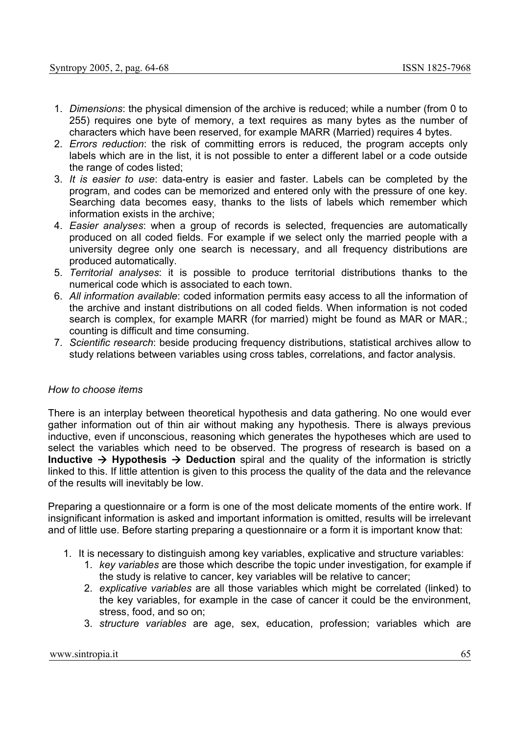- 1. *Dimensions*: the physical dimension of the archive is reduced; while a number (from 0 to 255) requires one byte of memory, a text requires as many bytes as the number of characters which have been reserved, for example MARR (Married) requires 4 bytes.
- 2. *Errors reduction*: the risk of committing errors is reduced, the program accepts only labels which are in the list, it is not possible to enter a different label or a code outside the range of codes listed;
- 3. *It is easier to use*: data-entry is easier and faster. Labels can be completed by the program, and codes can be memorized and entered only with the pressure of one key. Searching data becomes easy, thanks to the lists of labels which remember which information exists in the archive;
- 4. *Easier analyses*: when a group of records is selected, frequencies are automatically produced on all coded fields. For example if we select only the married people with a university degree only one search is necessary, and all frequency distributions are produced automatically.
- 5. *Territorial analyses*: it is possible to produce territorial distributions thanks to the numerical code which is associated to each town.
- 6. *All information available*: coded information permits easy access to all the information of the archive and instant distributions on all coded fields. When information is not coded search is complex, for example MARR (for married) might be found as MAR or MAR.; counting is difficult and time consuming.
- 7. *Scientific research*: beside producing frequency distributions, statistical archives allow to study relations between variables using cross tables, correlations, and factor analysis.

## *How to choose items*

There is an interplay between theoretical hypothesis and data gathering. No one would ever gather information out of thin air without making any hypothesis. There is always previous inductive, even if unconscious, reasoning which generates the hypotheses which are used to select the variables which need to be observed. The progress of research is based on a **Inductive**  $\rightarrow$  **Hypothesis**  $\rightarrow$  **Deduction** spiral and the quality of the information is strictly linked to this. If little attention is given to this process the quality of the data and the relevance of the results will inevitably be low.

Preparing a questionnaire or a form is one of the most delicate moments of the entire work. If insignificant information is asked and important information is omitted, results will be irrelevant and of little use. Before starting preparing a questionnaire or a form it is important know that:

- 1. It is necessary to distinguish among key variables, explicative and structure variables:
	- 1. *key variables* are those which describe the topic under investigation, for example if the study is relative to cancer, key variables will be relative to cancer;
	- 2. *explicative variables* are all those variables which might be correlated (linked) to the key variables, for example in the case of cancer it could be the environment, stress, food, and so on;
	- 3. *structure variables* are age, sex, education, profession; variables which are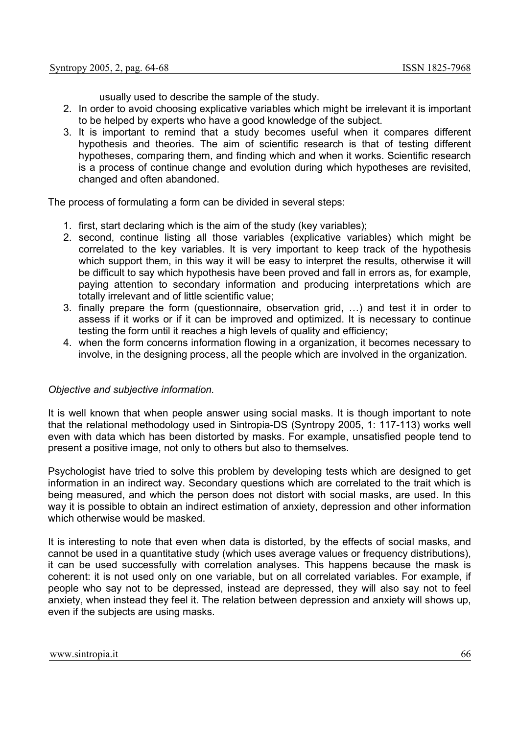usually used to describe the sample of the study.

- 2. In order to avoid choosing explicative variables which might be irrelevant it is important to be helped by experts who have a good knowledge of the subject.
- 3. It is important to remind that a study becomes useful when it compares different hypothesis and theories. The aim of scientific research is that of testing different hypotheses, comparing them, and finding which and when it works. Scientific research is a process of continue change and evolution during which hypotheses are revisited, changed and often abandoned.

The process of formulating a form can be divided in several steps:

- 1. first, start declaring which is the aim of the study (key variables);
- 2. second, continue listing all those variables (explicative variables) which might be correlated to the key variables. It is very important to keep track of the hypothesis which support them, in this way it will be easy to interpret the results, otherwise it will be difficult to say which hypothesis have been proved and fall in errors as, for example, paying attention to secondary information and producing interpretations which are totally irrelevant and of little scientific value;
- 3. finally prepare the form (questionnaire, observation grid, …) and test it in order to assess if it works or if it can be improved and optimized. It is necessary to continue testing the form until it reaches a high levels of quality and efficiency;
- 4. when the form concerns information flowing in a organization, it becomes necessary to involve, in the designing process, all the people which are involved in the organization.

## *Objective and subjective information.*

It is well known that when people answer using social masks. It is though important to note that the relational methodology used in Sintropia-DS (Syntropy 2005, 1: 117-113) works well even with data which has been distorted by masks. For example, unsatisfied people tend to present a positive image, not only to others but also to themselves.

Psychologist have tried to solve this problem by developing tests which are designed to get information in an indirect way. Secondary questions which are correlated to the trait which is being measured, and which the person does not distort with social masks, are used. In this way it is possible to obtain an indirect estimation of anxiety, depression and other information which otherwise would be masked.

It is interesting to note that even when data is distorted, by the effects of social masks, and cannot be used in a quantitative study (which uses average values or frequency distributions), it can be used successfully with correlation analyses. This happens because the mask is coherent: it is not used only on one variable, but on all correlated variables. For example, if people who say not to be depressed, instead are depressed, they will also say not to feel anxiety, when instead they feel it. The relation between depression and anxiety will shows up, even if the subjects are using masks.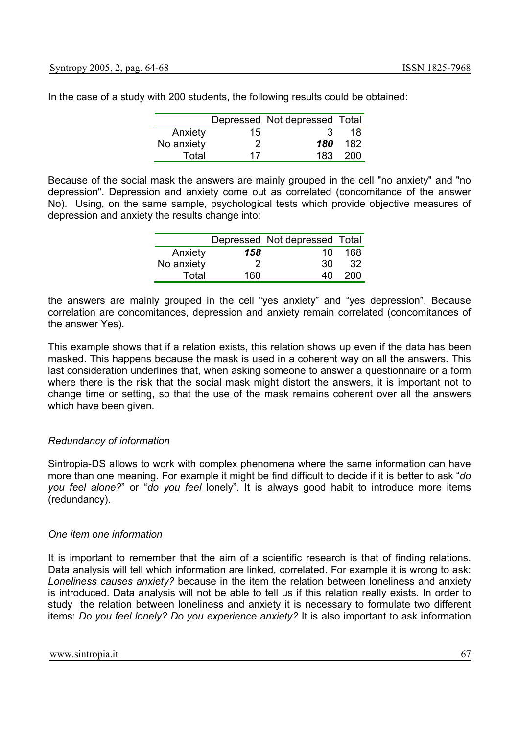|            |    | Depressed Not depressed Total |     |
|------------|----|-------------------------------|-----|
| Anxiety    | 15 |                               | 18  |
| No anxiety | 2  | 180                           | 182 |
| Total      | 17 | 183                           | 200 |

In the case of a study with 200 students, the following results could be obtained:

Because of the social mask the answers are mainly grouped in the cell "no anxiety" and "no depression". Depression and anxiety come out as correlated (concomitance of the answer No). Using, on the same sample, psychological tests which provide objective measures of depression and anxiety the results change into:

|            |      | Depressed Not depressed Total |     |
|------------|------|-------------------------------|-----|
| Anxiety    | 158  | 10                            | 168 |
| No anxiety |      | 30                            | 32  |
| Total      | 160. | 40                            | 200 |

the answers are mainly grouped in the cell "yes anxiety" and "yes depression". Because correlation are concomitances, depression and anxiety remain correlated (concomitances of the answer Yes).

This example shows that if a relation exists, this relation shows up even if the data has been masked. This happens because the mask is used in a coherent way on all the answers. This last consideration underlines that, when asking someone to answer a questionnaire or a form where there is the risk that the social mask might distort the answers, it is important not to change time or setting, so that the use of the mask remains coherent over all the answers which have been given.

# *Redundancy of information*

Sintropia-DS allows to work with complex phenomena where the same information can have more than one meaning. For example it might be find difficult to decide if it is better to ask "*do you feel alone?*" or "*do you feel* lonely". It is always good habit to introduce more items (redundancy).

# *One item one information*

It is important to remember that the aim of a scientific research is that of finding relations. Data analysis will tell which information are linked, correlated. For example it is wrong to ask: *Loneliness causes anxiety?* because in the item the relation between loneliness and anxiety is introduced. Data analysis will not be able to tell us if this relation really exists. In order to study the relation between loneliness and anxiety it is necessary to formulate two different items: *Do you feel lonely? Do you experience anxiety?* It is also important to ask information